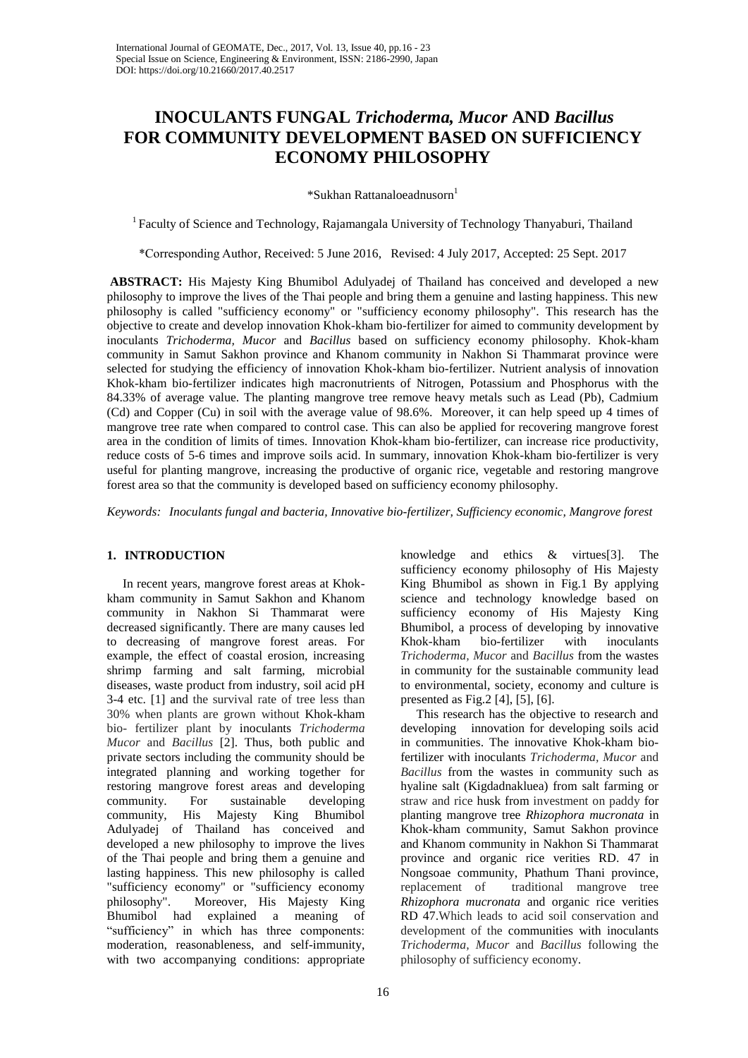# **INOCULANTS FUNGAL** *Trichoderma, Mucor* **AND** *Bacillus*  **FOR COMMUNITY DEVELOPMENT BASED ON SUFFICIENCY ECONOMY PHILOSOPHY**

\*Sukhan Rattanaloeadnusorn<sup>1</sup>

<sup>1</sup> Faculty of Science and Technology, Rajamangala University of Technology Thanyaburi, Thailand

\*Corresponding Author, Received: 5 June 2016, Revised: 4 July 2017, Accepted: 25 Sept. 2017

**ABSTRACT:** His Majesty King Bhumibol Adulyadej of Thailand has conceived and developed a new philosophy to improve the lives of the Thai people and bring them a genuine and lasting happiness. This new philosophy is called "sufficiency economy" or "sufficiency economy philosophy". This research has the objective to create and develop innovation Khok-kham bio-fertilizer for aimed to community development by inoculants *Trichoderma, Mucor* and *Bacillus* based on sufficiency economy philosophy. Khok-kham community in Samut Sakhon province and Khanom community in Nakhon Si Thammarat province were selected for studying the efficiency of innovation Khok-kham bio-fertilizer. Nutrient analysis of innovation Khok-kham bio-fertilizer indicates high macronutrients of Nitrogen, Potassium and Phosphorus with the 84.33% of average value. The planting mangrove tree remove heavy metals such as Lead (Pb), Cadmium (Cd) and Copper (Cu) in soil with the average value of 98.6%. Moreover, it can help speed up 4 times of mangrove tree rate when compared to control case. This can also be applied for recovering mangrove forest area in the condition of limits of times. Innovation Khok-kham bio-fertilizer, can increase rice productivity, reduce costs of 5-6 times and improve soils acid. In summary, innovation Khok-kham bio-fertilizer is very useful for planting mangrove, increasing the productive of organic rice, vegetable and restoring mangrove forest area so that the community is developed based on sufficiency economy philosophy.

*Keywords: Inoculants fungal and bacteria, Innovative bio-fertilizer, Sufficiency economic, Mangrove forest*

#### **1. INTRODUCTION**

 In recent years, mangrove forest areas at Khokkham community in Samut Sakhon and Khanom community in Nakhon Si Thammarat were decreased significantly. There are many causes led to decreasing of mangrove forest areas. For example, the effect of coastal erosion, increasing shrimp farming and salt farming, microbial diseases, waste product from industry, soil acid pH 3-4 etc. [1] and the survival rate of tree less than 30% when plants are grown without Khok-kham bio- fertilizer plant by inoculants *Trichoderma Mucor* and *Bacillus* [2]. Thus, both public and private sectors including the community should be integrated planning and working together for restoring mangrove forest areas and developing community. For sustainable developing community, His Majesty King Bhumibol Adulyadej of Thailand has conceived and developed a new philosophy to improve the lives of the Thai people and bring them a genuine and lasting happiness. This new philosophy is called "sufficiency economy" or "sufficiency economy philosophy". Moreover, His Majesty King Bhumibol had explained a meaning of "sufficiency" in which has three components: moderation, reasonableness, and self-immunity, with two accompanying conditions: appropriate

knowledge and ethics & virtues[3]. The sufficiency economy philosophy of His Majesty King Bhumibol as shown in Fig.1 By applying science and technology knowledge based on sufficiency economy of His Majesty King Bhumibol, a process of developing by innovative Khok-kham bio-fertilizer with inoculants *Trichoderma, Mucor* and *Bacillus* from the wastes in community for the sustainable community lead to environmental, society, economy and culture is presented as Fig.2 [4], [5], [6].

 This research has the objective to research and developing innovation for developing soils acid in communities. The innovative Khok-kham biofertilizer with inoculants *Trichoderma, Mucor* and *Bacillus* from the wastes in community such as hyaline salt (Kigdadnakluea) from salt farming or straw and rice husk from investment on paddy for planting mangrove tree *Rhizophora mucronata* in Khok-kham community, Samut Sakhon province and Khanom community in Nakhon Si Thammarat province and organic rice verities RD. 47 in Nongsoae community, Phathum Thani province, replacement of traditional mangrove tree *Rhizophora mucronata* and organic rice verities RD 47.Which leads to acid soil conservation and development of the communities with inoculants *Trichoderma, Mucor* and *Bacillus* following the philosophy of sufficiency economy.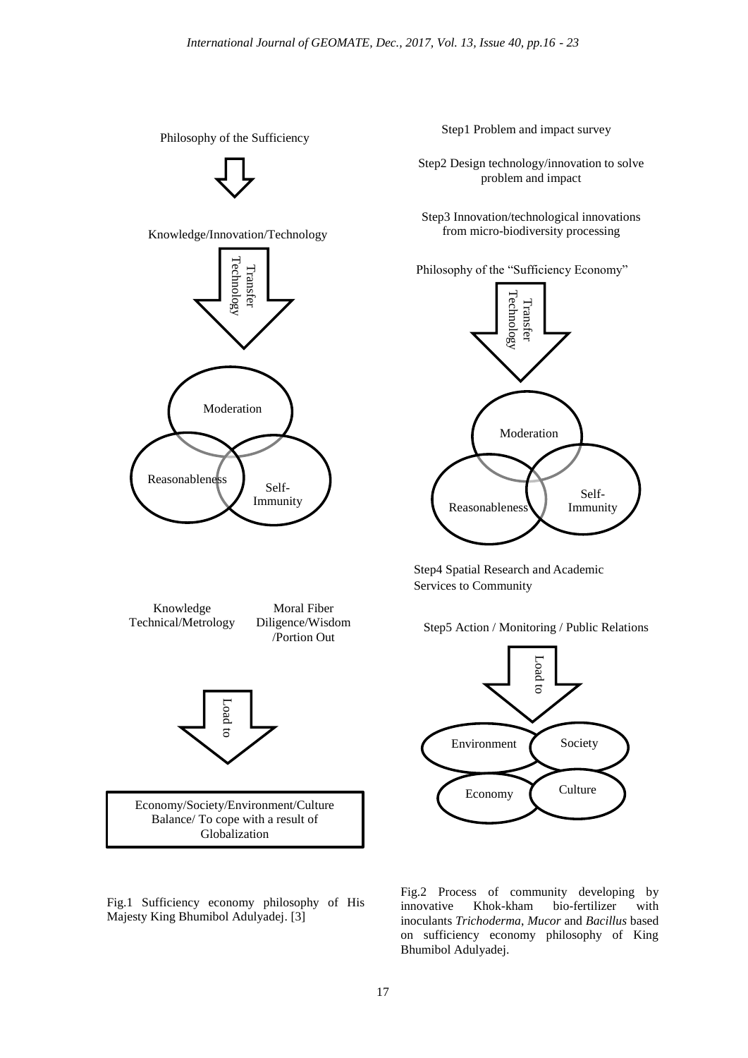

Step1 Problem and impact survey

Step2 Design technology/innovation to solve problem and impact

Step3 Innovation/technological innovations from micro-biodiversity processing

Philosophy of the "Sufficiency Economy"



Step4 Spatial Research and Academic Services to Community





Fig.2 Process of community developing by innovative Khok-kham bio-fertilizer with inoculants *Trichoderma*, *Mucor* and *Bacillus* based on sufficiency economy philosophy of King Bhumibol Adulyadej.

Fig.1 Sufficiency economy philosophy of His Majesty King Bhumibol Adulyadej. [3]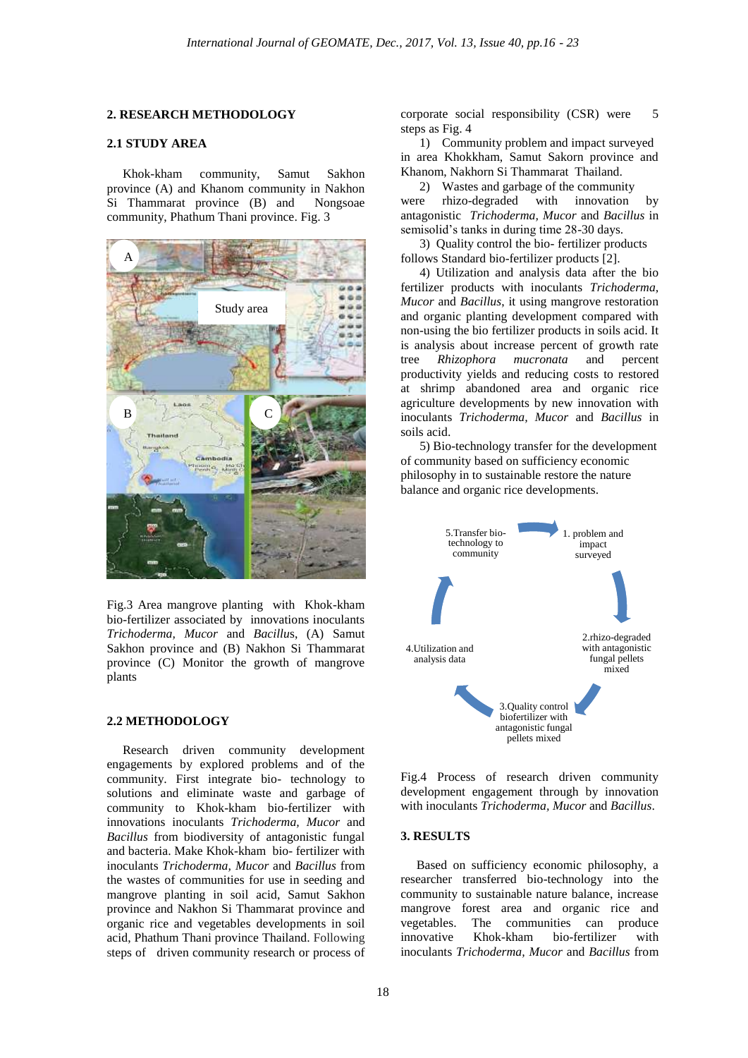#### **2. RESEARCH METHODOLOGY**

## **2.1 STUDY AREA**

 Khok-kham community, Samut Sakhon province (A) and Khanom community in Nakhon Si Thammarat province (B) and Nongsoae community, Phathum Thani province. Fig. 3



Fig.3 Area mangrove planting with Khok-kham bio-fertilizer associated by innovations inoculants *Trichoderma, Mucor* and *Bacillu*s, (A) Samut Sakhon province and (B) Nakhon Si Thammarat province (C) Monitor the growth of mangrove plants

# **2.2 METHODOLOGY**

 Research driven community development engagements by explored problems and of the community. First integrate bio- technology to solutions and eliminate waste and garbage of community to Khok-kham bio-fertilizer with innovations inoculants *Trichoderma, Mucor* and *Bacillus* from biodiversity of antagonistic fungal and bacteria. Make Khok-kham bio- fertilizer with inoculants *Trichoderma, Mucor* and *Bacillus* from the wastes of communities for use in seeding and mangrove planting in soil acid, Samut Sakhon province and Nakhon Si Thammarat province and organic rice and vegetables developments in soil acid, Phathum Thani province Thailand. Following steps of driven community research or process of

corporate social responsibility (CSR) were 5 steps as Fig. 4

1) Community problem and impact surveyed in area Khokkham, Samut Sakorn province and Khanom, Nakhorn Si Thammarat Thailand.

2) Wastes and garbage of the community were rhizo-degraded with innovation by antagonistic *Trichoderma, Mucor* and *Bacillus* in semisolid's tanks in during time 28-30 days.

 3) Quality control the bio- fertilizer products follows Standard bio-fertilizer products [2].

 4) Utilization and analysis data after the bio fertilizer products with inoculants *Trichoderma, Mucor* and *Bacillus*, it using mangrove restoration and organic planting development compared with non-using the bio fertilizer products in soils acid. It is analysis about increase percent of growth rate tree *Rhizophora mucronata* and percent productivity yields and reducing costs to restored at shrimp abandoned area and organic rice agriculture developments by new innovation with inoculants *Trichoderma, Mucor* and *Bacillus* in soils acid.

 5) Bio-technology transfer for the development of community based on sufficiency economic philosophy in to sustainable restore the nature balance and organic rice developments.



Fig.4 Process of research driven community development engagement through by innovation with inoculants *Trichoderma, Mucor* and *Bacillus*.

## **3. RESULTS**

 Based on sufficiency economic philosophy, a researcher transferred bio-technology into the community to sustainable nature balance, increase mangrove forest area and organic rice and vegetables. The communities can produce innovative Khok-kham bio-fertilizer with inoculants *Trichoderma, Mucor* and *Bacillus* from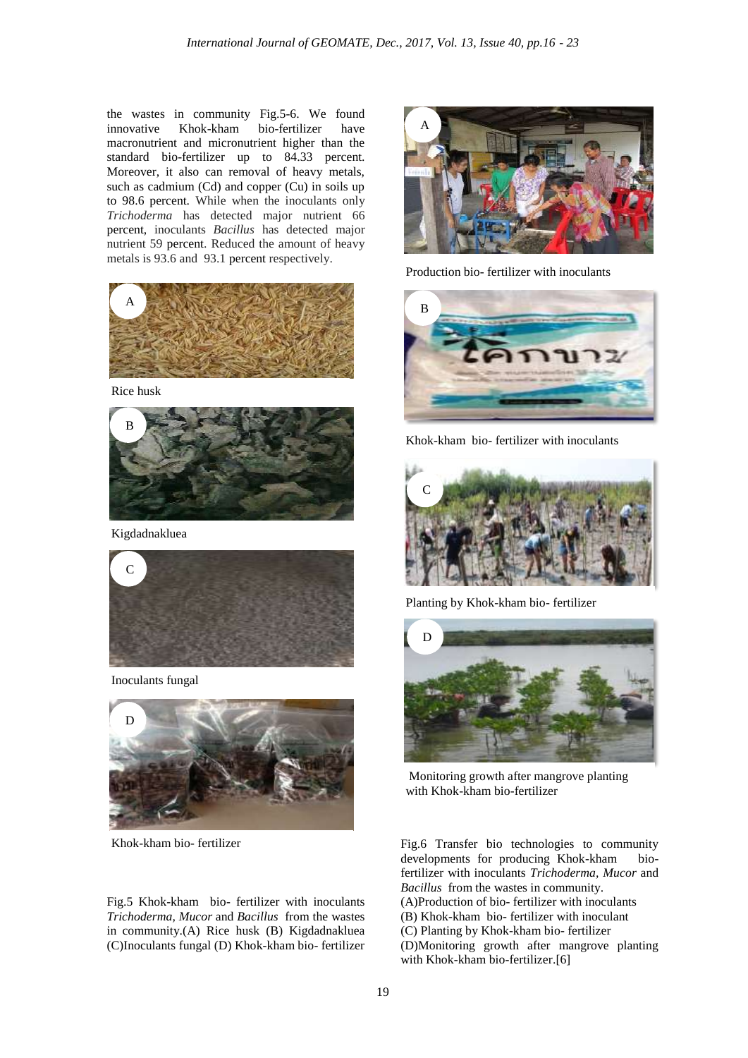the wastes in community Fig.5-6. We found innovative Khok-kham bio-fertilizer have macronutrient and micronutrient higher than the standard bio-fertilizer up to 84.33 percent. Moreover, it also can removal of heavy metals, such as cadmium (Cd) and copper (Cu) in soils up to 98.6 percent. While when the inoculants only *Trichoderma* has detected major nutrient 66 percent, inoculants *Bacillus* has detected major nutrient 59 percent. Reduced the amount of heavy metals is 93.6 and 93.1 percent respectively.



Rice husk



Kigdadnakluea

![](_page_3_Picture_6.jpeg)

Inoculants fungal

![](_page_3_Picture_8.jpeg)

Khok-kham bio- fertilizer

Fig.5 Khok-kham bio- fertilizer with inoculants *Trichoderma, Mucor* and *Bacillus* from the wastes in community.(A) Rice husk (B) Kigdadnakluea (C)Inoculants fungal (D) Khok-kham bio- fertilizer

![](_page_3_Picture_11.jpeg)

Production bio- fertilizer with inoculants

![](_page_3_Picture_13.jpeg)

Khok-kham bio- fertilizer with inoculants

![](_page_3_Picture_15.jpeg)

Planting by Khok-kham bio- fertilizer

![](_page_3_Picture_17.jpeg)

Monitoring growth after mangrove planting with Khok-kham bio-fertilizer

Fig.6 Transfer bio technologies to community developments for producing Khok-kham biofertilizer with inoculants *Trichoderma, Mucor* and *Bacillus* from the wastes in community. (A)Production of bio- fertilizer with inoculants (B) Khok-kham bio- fertilizer with inoculant (C) Planting by Khok-kham bio- fertilizer (D)Monitoring growth after mangrove planting with Khok-kham bio-fertilizer.[6]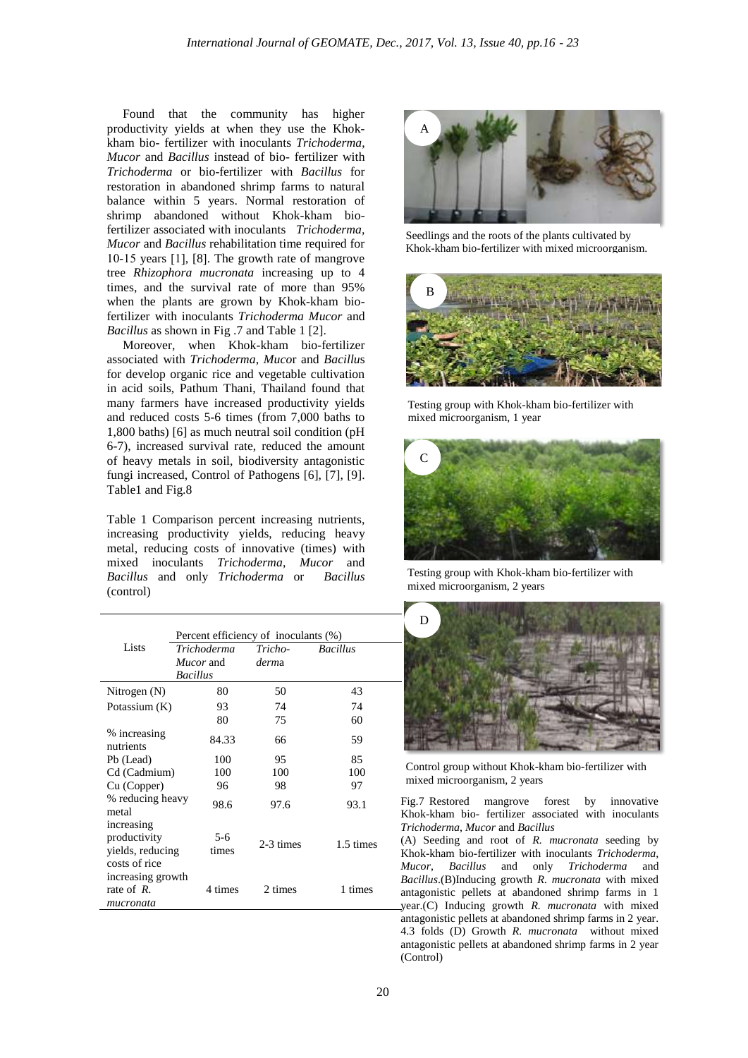Found that the community has higher productivity yields at when they use the Khokkham bio- fertilizer with inoculants *Trichoderma*, *Mucor* and *Bacillus* instead of bio- fertilizer with *Trichoderma* or bio-fertilizer with *Bacillus* for restoration in abandoned shrimp farms to natural balance within 5 years. Normal restoration of shrimp abandoned without Khok-kham biofertilizer associated with inoculants *Trichoderma, Mucor* and *Bacillus* rehabilitation time required for 10-15 years [1], [8]. The growth rate of mangrove tree *Rhizophora mucronata* increasing up to 4 times, and the survival rate of more than 95% when the plants are grown by Khok-kham biofertilizer with inoculants *Trichoderma Mucor* and *Bacillus* as shown in Fig .7 and Table 1 [2].

 Moreover, when Khok-kham bio-fertilizer associated with *Trichoderma*, *Muco*r and *Bacillu*s for develop organic rice and vegetable cultivation in acid soils, Pathum Thani, Thailand found that many farmers have increased productivity yields and reduced costs 5-6 times (from 7,000 baths to 1,800 baths) [6] as much neutral soil condition (pH 6-7), increased survival rate, reduced the amount of heavy metals in soil, biodiversity antagonistic fungi increased, Control of Pathogens [6], [7], [9]. Table1 and Fig.8

Table 1 Comparison percent increasing nutrients, increasing productivity yields, reducing heavy metal, reducing costs of innovative (times) with mixed inoculants *Trichoderma*, *Mucor* and *Bacillus* and only *Trichoderma* or *Bacillus* (control)

|                                                                 | Percent efficiency of inoculants (%) |                |           |                 |
|-----------------------------------------------------------------|--------------------------------------|----------------|-----------|-----------------|
| Lists                                                           | Trichoderma                          |                | Tricho-   | <b>Bacillus</b> |
|                                                                 | <i>Mucor</i> and                     |                | derma     |                 |
|                                                                 | <b>Bacillus</b>                      |                |           |                 |
| Nitrogen (N)                                                    |                                      | 80             | 50        | 43              |
| Potassium (K)                                                   |                                      | 93             | 74        | 74              |
|                                                                 |                                      | 80             | 75        | 60              |
| % increasing<br>nutrients                                       |                                      | 84.33          | 66        | 59              |
| Pb (Lead)                                                       |                                      | 100            | 95        | 85              |
| Cd (Cadmium)                                                    |                                      | 100            | 100       | 100             |
| Cu (Copper)                                                     |                                      | 96             | 98        | 97              |
| % reducing heavy<br>metal                                       |                                      | 98.6           | 97.6      | 93.1            |
| increasing<br>productivity<br>vields, reducing<br>costs of rice |                                      | $5-6$<br>times | 2-3 times | 1.5 times       |
| increasing growth<br>rate of $R$ .<br>mucronata                 |                                      | 4 times        | 2 times   | 1 times         |

![](_page_4_Picture_5.jpeg)

Seedlings and the roots of the plants cultivated by Khok-kham bio-fertilizer with mixed microorganism.

![](_page_4_Picture_7.jpeg)

Testing group with Khok-kham bio-fertilizer with mixed microorganism, 1 year

![](_page_4_Picture_9.jpeg)

Testing group with Khok-kham bio-fertilizer with mixed microorganism, 2 years

![](_page_4_Picture_11.jpeg)

Control group without Khok-kham bio-fertilizer with mixed microorganism, 2 years

Fig.7 Restored mangrove forest by innovative Khok-kham bio- fertilizer associated with inoculants *Trichoderma*, *Mucor* and *Bacillus*

(A) Seeding and root of *R. mucronata* seeding by Khok-kham bio-fertilizer with inoculants *Trichoderma*, *Mucor*, *Bacillus* and only *Trichoderma* and *Bacillus*.(B)Inducing growth *R. mucronata* with mixed antagonistic pellets at abandoned shrimp farms in 1 year.(C) Inducing growth *R. mucronata* with mixed antagonistic pellets at abandoned shrimp farms in 2 year. 4.3 folds (D) Growth *R. mucronata* without mixed antagonistic pellets at abandoned shrimp farms in 2 year (Control)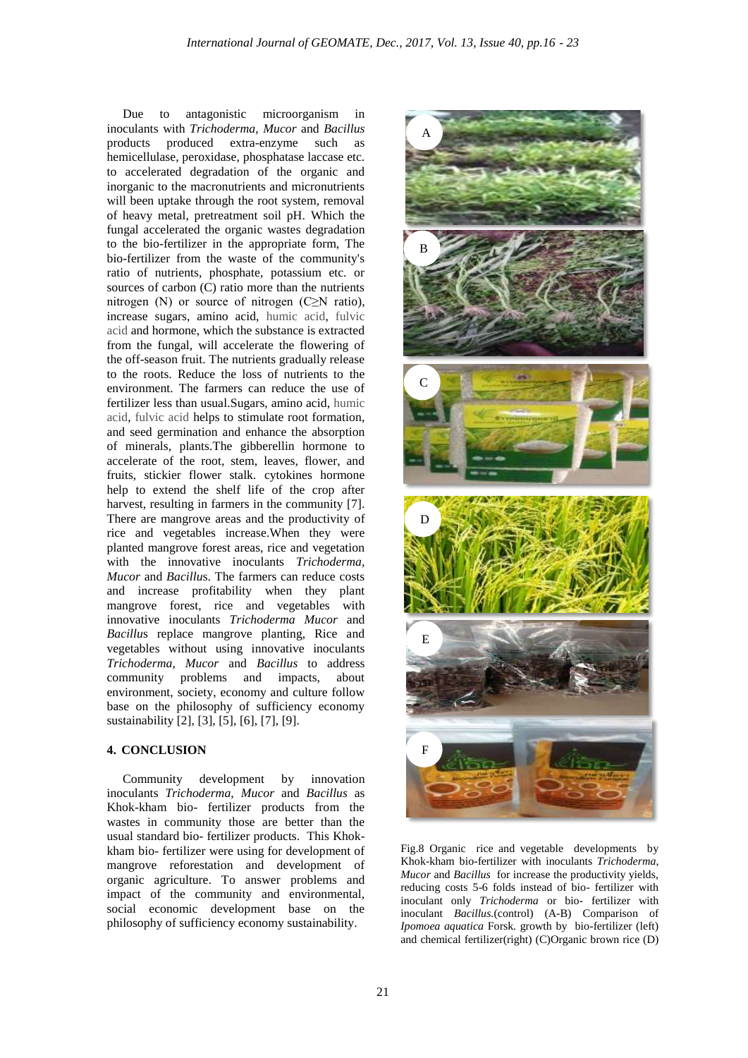Due to antagonistic microorganism in inoculants with *Trichoderma*, *Mucor* and *Bacillus* products produced extra-enzyme such as hemicellulase, peroxidase, phosphatase laccase etc. to accelerated degradation of the organic and inorganic to the macronutrients and micronutrients will been uptake through the root system, removal of heavy metal, pretreatment soil pH. Which the fungal accelerated the organic wastes degradation to the bio-fertilizer in the appropriate form, The bio-fertilizer from the waste of the community's ratio of nutrients, phosphate, potassium etc. or sources of carbon (C) ratio more than the nutrients nitrogen (N) or source of nitrogen  $(C \ge N$  ratio), increase sugars, amino acid, humic acid, fulvic acid and hormone, which the substance is extracted from the fungal, will accelerate the flowering of the off-season fruit. The nutrients gradually release to the roots. Reduce the loss of nutrients to the environment. The farmers can reduce the use of fertilizer less than usual.Sugars, amino acid, humic acid, fulvic acid helps to stimulate root formation, and seed germination and enhance the absorption of minerals, plants.The gibberellin hormone to accelerate of the root, stem, leaves, flower, and fruits, stickier flower stalk. cytokines hormone help to extend the shelf life of the crop after harvest, resulting in farmers in the community [7]. There are mangrove areas and the productivity of rice and vegetables increase.When they were planted mangrove forest areas, rice and vegetation with the innovative inoculants *Trichoderma, Mucor* and *Bacillu*s. The farmers can reduce costs and increase profitability when they plant mangrove forest, rice and vegetables with innovative inoculants *Trichoderma Mucor* and *Bacillu*s replace mangrove planting, Rice and vegetables without using innovative inoculants *Trichoderma, Mucor* and *Bacillus* to address community problems and impacts, about environment, society, economy and culture follow base on the philosophy of sufficiency economy sustainability [2], [3], [5], [6], [7], [9].

## **4. CONCLUSION**

 Community development by innovation inoculants *Trichoderma, Mucor* and *Bacillus* as Khok-kham bio- fertilizer products from the wastes in community those are better than the usual standard bio- fertilizer products. This Khokkham bio- fertilizer were using for development of mangrove reforestation and development of organic agriculture. To answer problems and impact of the community and environmental, social economic development base on the philosophy of sufficiency economy sustainability.

![](_page_5_Picture_4.jpeg)

Fig.8 Organic rice and vegetable developments by Khok-kham bio-fertilizer with inoculants *Trichoderma*, *Mucor* and *Bacillus* for increase the productivity yields, reducing costs 5-6 folds instead of bio- fertilizer with inoculant only *Trichoderma* or bio- fertilizer with inoculant *Bacillus.*(control) (A-B) Comparison of *Ipomoea aquatica* Forsk. growth by bio-fertilizer (left) and chemical fertilizer(right) (C)Organic brown rice (D)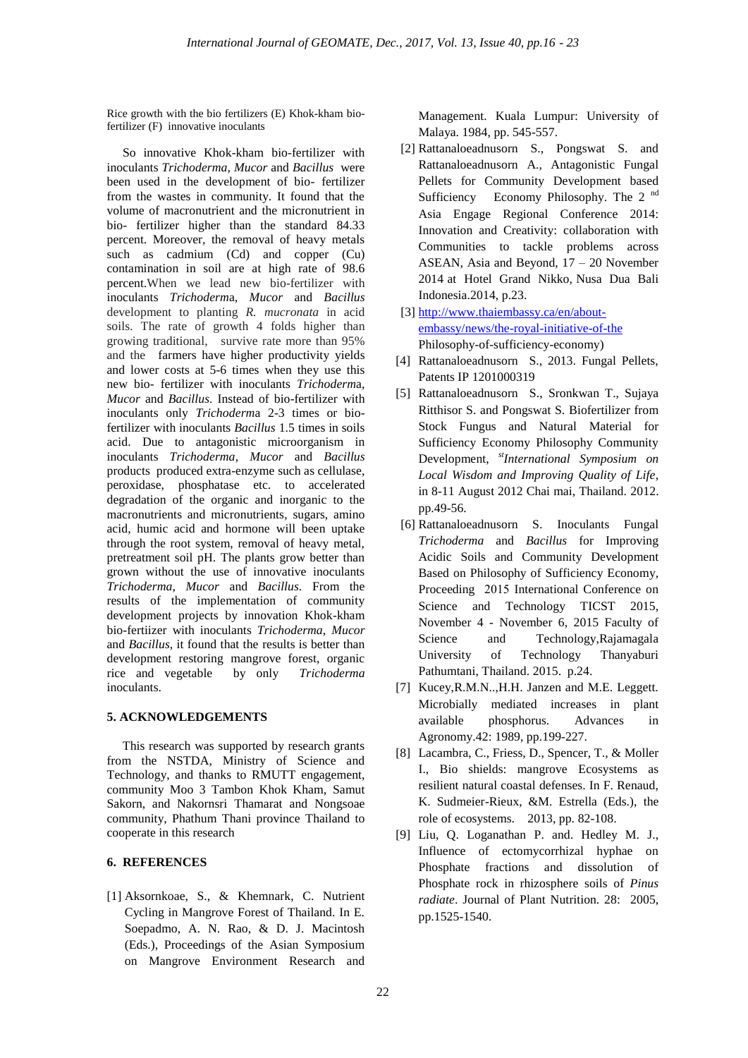Rice growth with the bio fertilizers (E) Khok-kham biofertilizer (F) innovative inoculants

 So innovative Khok-kham bio-fertilizer with inoculants *Trichoderma, Mucor* and *Bacillus* were been used in the development of bio- fertilizer from the wastes in community. It found that the volume of macronutrient and the micronutrient in bio- fertilizer higher than the standard 84.33 percent. Moreover, the removal of heavy metals such as cadmium (Cd) and copper (Cu) contamination in soil are at high rate of 98.6 percent.When we lead new bio-fertilizer with inoculants *Trichoderm*a, *Mucor* and *Bacillus* development to planting *R. mucronata* in acid soils. The rate of growth 4 folds higher than growing traditional, survive rate more than 95% and the farmers have higher productivity yields and lower costs at 5-6 times when they use this new bio- fertilizer with inoculants *Trichoderm*a, *Mucor* and *Bacillus*. Instead of bio-fertilizer with inoculants only *Trichoderm*a 2-3 times or biofertilizer with inoculants *Bacillus* 1.5 times in soils acid. Due to antagonistic microorganism in inoculants *Trichoderma*, *Mucor* and *Bacillus* products produced extra-enzyme such as cellulase, peroxidase, phosphatase etc. to accelerated degradation of the organic and inorganic to the macronutrients and micronutrients, sugars, amino acid, humic acid and hormone will been uptake through the root system, removal of heavy metal, pretreatment soil pH. The plants grow better than grown without the use of innovative inoculants *Trichoderma*, *Mucor* and *Bacillus*. From the results of the implementation of community development projects by innovation Khok-kham bio*-*fertiizer with inoculants *Trichoderma*, *Mucor* and *Bacillus*, it found that the results is better than development restoring mangrove forest, organic rice and vegetable by only *Trichoderma* inoculants.

#### **5. ACKNOWLEDGEMENTS**

 This research was supported by research grants from the NSTDA, Ministry of Science and Technology, and thanks to RMUTT engagement, community Moo 3 Tambon Khok Kham, Samut Sakorn, and Nakornsri Thamarat and Nongsoae community, Phathum Thani province Thailand to cooperate in this research

# **6. REFERENCES**

[1] Aksornkoae, S., & Khemnark, C. Nutrient Cycling in Mangrove Forest of Thailand. In E. Soepadmo, A. N. Rao, & D. J. Macintosh (Eds.), Proceedings of the Asian Symposium on Mangrove Environment Research and

Management. Kuala Lumpur: University of Malaya. 1984, pp. 545-557.

- [2] Rattanaloeadnusorn S., Pongswat S. and Rattanaloeadnusorn A., Antagonistic Fungal Pellets for Community Development based Sufficiency Economy Philosophy. The 2<sup>nd</sup> Asia Engage Regional Conference 2014: Innovation and Creativity: collaboration with Communities to tackle problems across ASEAN, Asia and Beyond, 17 – 20 November 2014 at [Hotel Grand Nikko, Nusa Dua Bali](https://www.google.com/maps/place/Grand+Nikko+Bali/@-8.826494,115.219768,17z/data=!3m1!4b1!4m2!3m1!1s0x0:0x63d7607350cf7576)  [Indonesia.2](https://www.google.com/maps/place/Grand+Nikko+Bali/@-8.826494,115.219768,17z/data=!3m1!4b1!4m2!3m1!1s0x0:0x63d7607350cf7576)014, p.23.
- [3] [http://www.thaiembassy.ca/en/about](http://www.thaiembassy.ca/en/about-embassy/news/the-royal-initiative-of-the)[embassy/news/the-royal-initiative-of-the](http://www.thaiembassy.ca/en/about-embassy/news/the-royal-initiative-of-the) Philosophy-of-sufficiency-economy)
- [4] Rattanaloeadnusorn S., 2013. Fungal Pellets, Patents IP 1201000319
- [5] Rattanaloeadnusorn S., Sronkwan T., Sujaya Ritthisor S. and Pongswat S. Biofertilizer from Stock Fungus and Natural Material for Sufficiency Economy Philosophy Community Development, *stInternational Symposium on Local Wisdom and Improving Quality of Life*, in 8-11 August 2012 Chai mai, Thailand. 2012. pp.49-56.
- [6] Rattanaloeadnusorn S. Inoculants Fungal *Trichoderma* and *Bacillus* for Improving Acidic Soils and Community Development Based on Philosophy of Sufficiency Economy, Proceeding 2015 International Conference on Science and Technology TICST 2015, November 4 - November 6, 2015 Faculty of Science and Technology, Rajamagala University of Technology Thanyaburi Pathumtani, Thailand. 2015. p.24.
- [7] Kucey,R.M.N..,H.H. Janzen and M.E. Leggett. Microbially mediated increases in plant available phosphorus. Advances in Agronomy.42: 1989, pp.199-227.
- [8] Lacambra, C., Friess, D., Spencer, T., & Moller I., Bio shields: mangrove Ecosystems as resilient natural coastal defenses. In F. Renaud, K. Sudmeier-Rieux, &M. Estrella (Eds.), the role of ecosystems. 2013, pp. 82-108.
- [9] Liu, Q. Loganathan P. and. Hedley M. J., Influence of ectomycorrhizal hyphae on Phosphate fractions and dissolution of Phosphate rock in rhizosphere soils of *Pinus radiate*. Journal of Plant Nutrition. 28: 2005, pp.1525-1540.